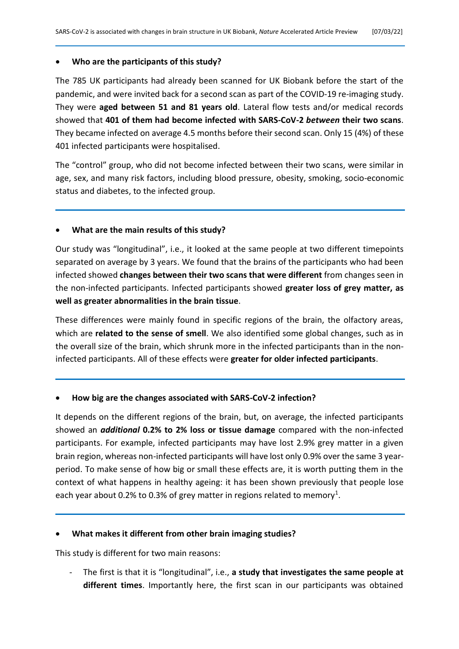# • **Who are the participants of this study?**

The 785 UK participants had already been scanned for UK Biobank before the start of the pandemic, and were invited back for a second scan as part of the COVID-19 re-imaging study. They were **aged between 51 and 81 years old**. Lateral flow tests and/or medical records showed that **401 of them had become infected with SARS-CoV-2** *between* **their two scans**. They became infected on average 4.5 months before their second scan. Only 15 (4%) of these 401 infected participants were hospitalised.

The "control" group, who did not become infected between their two scans, were similar in age, sex, and many risk factors, including blood pressure, obesity, smoking, socio-economic status and diabetes, to the infected group.

# • **What are the main results of this study?**

Our study was "longitudinal", i.e., it looked at the same people at two different timepoints separated on average by 3 years. We found that the brains of the participants who had been infected showed **changes between their two scans that were different** from changes seen in the non-infected participants. Infected participants showed **greater loss of grey matter, as well as greater abnormalities in the brain tissue**.

These differences were mainly found in specific regions of the brain, the olfactory areas, which are **related to the sense of smell**. We also identified some global changes, such as in the overall size of the brain, which shrunk more in the infected participants than in the noninfected participants. All of these effects were **greater for older infected participants**.

# • **How big are the changes associated with SARS-CoV-2 infection?**

It depends on the different regions of the brain, but, on average, the infected participants showed an *additional* **0.2% to 2% loss or tissue damage** compared with the non-infected participants. For example, infected participants may have lost 2.9% grey matter in a given brain region, whereas non-infected participants will have lost only 0.9% over the same 3 yearperiod. To make sense of how big or small these effects are, it is worth putting them in the context of what happens in healthy ageing: it has been shown previously that people lose each year about 0.2% to 0.3% of grey matter in regions related to memory<sup>1</sup>.

## • **What makes it different from other brain imaging studies?**

This study is different for two main reasons:

- The first is that it is "longitudinal", i.e., **a study that investigates the same people at different times**. Importantly here, the first scan in our participants was obtained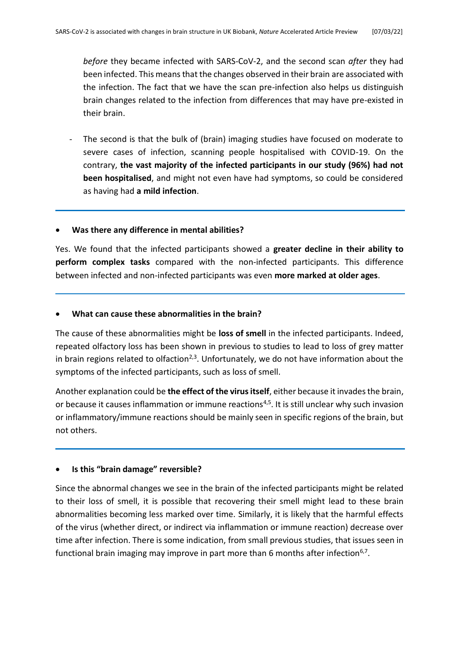*before* they became infected with SARS-CoV-2, and the second scan *after* they had been infected. This means that the changes observed in their brain are associated with the infection. The fact that we have the scan pre-infection also helps us distinguish brain changes related to the infection from differences that may have pre-existed in their brain.

The second is that the bulk of (brain) imaging studies have focused on moderate to severe cases of infection, scanning people hospitalised with COVID-19. On the contrary, **the vast majority of the infected participants in our study (96%) had not been hospitalised**, and might not even have had symptoms, so could be considered as having had **a mild infection**.

## • **Was there any difference in mental abilities?**

Yes. We found that the infected participants showed a **greater decline in their ability to perform complex tasks** compared with the non-infected participants. This difference between infected and non-infected participants was even **more marked at older ages**.

## • **What can cause these abnormalities in the brain?**

The cause of these abnormalities might be **loss of smell** in the infected participants. Indeed, repeated olfactory loss has been shown in previous to studies to lead to loss of grey matter in brain regions related to olfaction<sup>2,3</sup>. Unfortunately, we do not have information about the symptoms of the infected participants, such as loss of smell.

Another explanation could be **the effect of the virus itself**, either because it invades the brain, or because it causes inflammation or immune reactions<sup>4,5</sup>. It is still unclear why such invasion or inflammatory/immune reactions should be mainly seen in specific regions of the brain, but not others.

## • **Is this "brain damage" reversible?**

Since the abnormal changes we see in the brain of the infected participants might be related to their loss of smell, it is possible that recovering their smell might lead to these brain abnormalities becoming less marked over time. Similarly, it is likely that the harmful effects of the virus (whether direct, or indirect via inflammation or immune reaction) decrease over time after infection. There is some indication, from small previous studies, that issues seen in functional brain imaging may improve in part more than 6 months after infection<sup>6,7</sup>.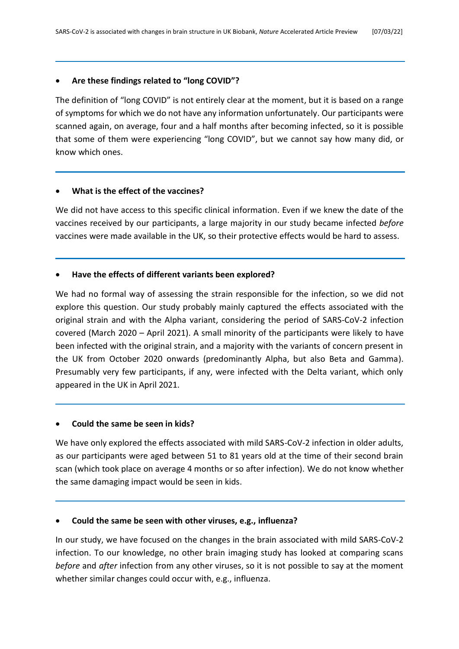# • **Are these findings related to "long COVID"?**

The definition of "long COVID" is not entirely clear at the moment, but it is based on a range of symptoms for which we do not have any information unfortunately. Our participants were scanned again, on average, four and a half months after becoming infected, so it is possible that some of them were experiencing "long COVID", but we cannot say how many did, or know which ones.

# • **What is the effect of the vaccines?**

We did not have access to this specific clinical information. Even if we knew the date of the vaccines received by our participants, a large majority in our study became infected *before* vaccines were made available in the UK, so their protective effects would be hard to assess.

# • **Have the effects of different variants been explored?**

We had no formal way of assessing the strain responsible for the infection, so we did not explore this question. Our study probably mainly captured the effects associated with the original strain and with the Alpha variant, considering the period of SARS-CoV-2 infection covered (March 2020 – April 2021). A small minority of the participants were likely to have been infected with the original strain, and a majority with the variants of concern present in the UK from October 2020 onwards (predominantly Alpha, but also Beta and Gamma). Presumably very few participants, if any, were infected with the Delta variant, which only appeared in the UK in April 2021.

# • **Could the same be seen in kids?**

We have only explored the effects associated with mild SARS-CoV-2 infection in older adults, as our participants were aged between 51 to 81 years old at the time of their second brain scan (which took place on average 4 months or so after infection). We do not know whether the same damaging impact would be seen in kids.

## • **Could the same be seen with other viruses, e.g., influenza?**

In our study, we have focused on the changes in the brain associated with mild SARS-CoV-2 infection. To our knowledge, no other brain imaging study has looked at comparing scans *before* and *after* infection from any other viruses, so it is not possible to say at the moment whether similar changes could occur with, e.g., influenza.